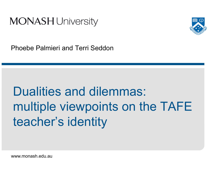



Phoebe Palmieri and Terri Seddon

# Dualities and dilemmas: multiple viewpoints on the TAFE teacher's identity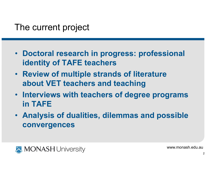## The current project

- Doctoral research in progress: professional identity of TAFE teachers
- Review of multiple strands of literature about VET teachers and teaching
- Interviews with teachers of degree programs in TAFE
- Analysis of dualities, dilemmas and possible convergences

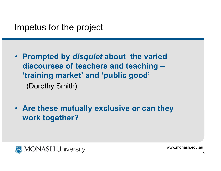#### Impetus for the project

- Prompted by *disquiet* about the varied discourses of teachers and teaching –'training market' and 'public good'(Dorothy Smith)
- Are these mutually exclusive or can they work together?

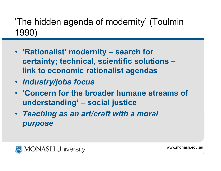'The hidden agenda of modernity' (Toulmin 1990)

- 'Rationalist' modernity search for certainty; technical, scientific solutions –link to economic rationalist agendas
- Industry/jobs focus
- 'Concern for the broader humane streams of understanding' – social justice
- Teaching as an art/craft with a moral purpose

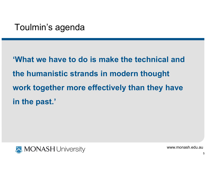## Toulmin's agenda

'What we have to do is make the technical and the humanistic strands in modern thought work together more effectively than they have in the past.'

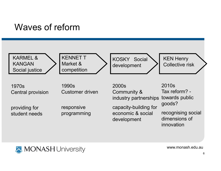## Waves of reform



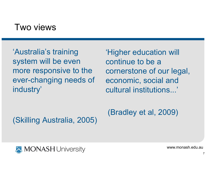#### Two views

'Australia's training system will be even more responsive to the ever-changing needs of industry'

'Higher education will continue to be a cornerstone of our legal, economic, social and cultural institutions...'

(Skilling Australia, 2005)

(Bradley et al, 2009)

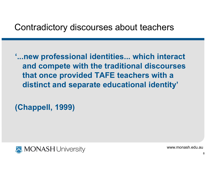## Contradictory discourses about teachers

'...new professional identities... which interact and compete with the traditional discourses that once provided TAFE teachers with a distinct and separate educational identity'

(Chappell, 1999)

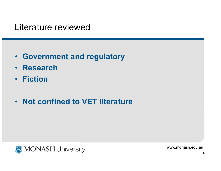#### Literature reviewed

- Government and regulatory
- Research
- Fiction
- Not confined to VET literature

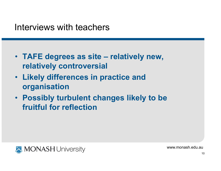- TAFE degrees as site relatively new, relatively controversial
- Likely differences in practice and organisation
- Possibly turbulent changes likely to be fruitful for reflection

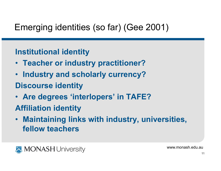## Emerging identities (so far) (Gee 2001)

#### Institutional identity

- Teacher or industry practitioner?
- Industry and scholarly currency?Discourse identity
- Are degrees 'interlopers' in TAFE?
- Affiliation identity
- $\bullet$  Maintaining links with industry, universities, fellow teachers